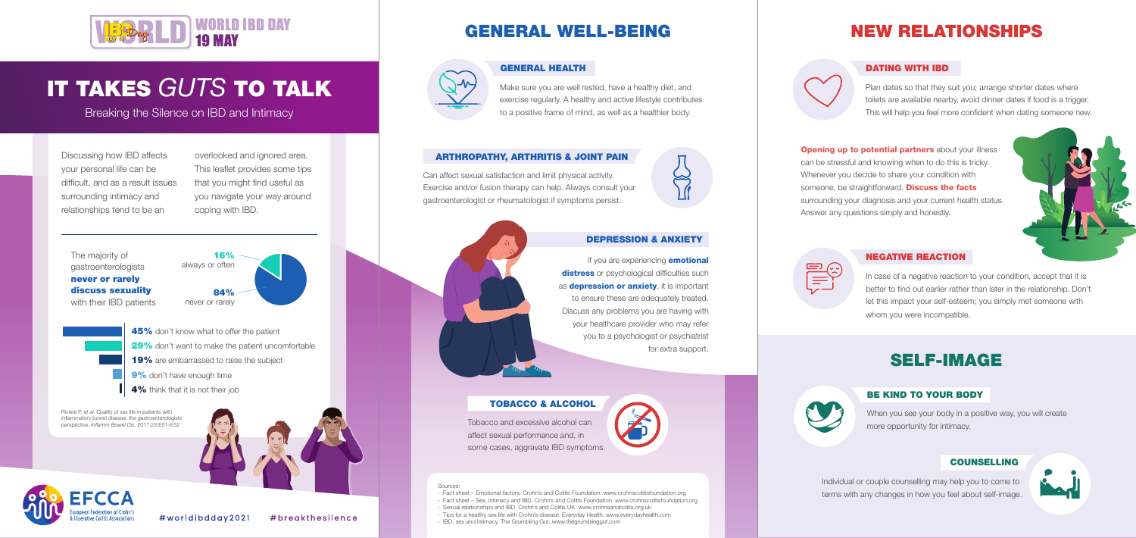

## IT TAKES *GUTS* TO TALK

Breaking the Silence on IBD and Intimacy

Discussing how IBD affects your personal life can be difficult, and as a result issues surrounding intimacy and relationships tend to be an

overlooked and ignored area. This leaflet provides some tips that you might find useful as you navigate your way around coping with IBD.

> If you are experiencing **emotional** distress or psychological difficulties such as **depression or anxiety**, it is important to ensure these are adequately treated. Discuss any problems you are having with your healthcare provider who may refer you to a psychologist or psychiatrist for extra support.



### GENERAL WELL-BEING



**Opening up to potential partners** about your illness can be stressful and knowing when to do this is tricky. Whenever you decide to share your condition with someone, be straightforward. **Discuss the facts** surrounding your diagnosis and your current health status. Answer any questions simply and honestly.





In case of a negative reaction to your condition, accept that it is better to find out earlier rather than later in the relationship. Don't let this impact your self-esteem; you simply met someone with whom you were incompatible.

## NEW RELATIONSHIPS

### GENERAL HEALTH

The majority of gastroenterologists never or rarely discuss sexuality with their **IBD** patients Make sure you are well rested, have a healthy diet, and exercise regularly. A healthy and active lifestyle contributes to a positive frame of mind, as well as a healthier body.

### DATING WITH IBD

Plan dates so that they suit you; arrange shorter dates where toilets are available nearby, avoid dinner dates if food is a trigger. This will help you feel more confident when dating someone new.

- Fact sheet Emotional factors. Crohn's and Colitis Foundation. www.crohnscolitisfoundation.org
- Fact sheet Sex, intimacy and IBD. Crohn's and Colitis Foundation. www.crohnscolitisfoundation.org
- Sexual relationships and IBD. Crohn's and Colitis UK. www.crohnsandcolitis.org.uk - Tips for a healthy sex life with Crohn's disease. Everyday Health. www.everydayhealth.com
- IBD, sex and intimacy. The Grumbling Gut. www.thegrumblinggut.com

### ARTHROPATHY, ARTHRITIS & JOINT PAIN

### DEPRESSION & ANXIETY

. Exercise and/or fusion therapy can help. Always consult your Can affect sexual satisfaction and limit physical activity. gastroenterologist or rheumatologist if symptoms persist.



### NEGATIVE REACTION

.

### TOBACCO & ALCOHOL

Tobacco and excessive alcohol can affect sexual performance and, in some cases, aggravate IBD symptoms.



- 45% don't know what to offer the patient 29% don't want to make the patient uncomfortable 19% are embarrassed to raise the subject
- 9% don't have enough time
- 4% think that it is not their job

When you see your body in a positive way, you will create more opportunity for intimacy.

Individual or couple counselling may help you to come to terms with any changes in how you feel about self-image.



## SELF-IMAGE



### BE KIND TO YOUR BODY

### COUNSELLING

Riviere P, *et al.* Quality of sex life in patients with inflammatory bowel disease: the gastroenterologists' perspective. *Inflamm Bowel Dis.* 2017;23:E51–E52





#### Sources: